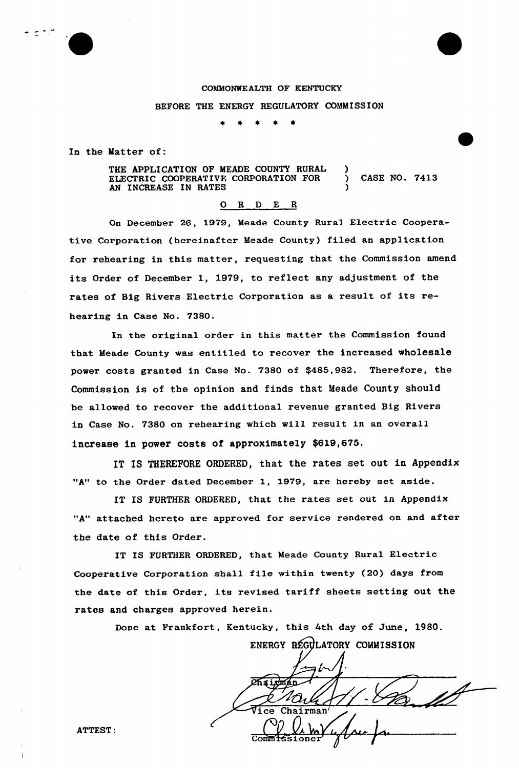

# COMMONWEALTH OF KENTUCKY BEFORE THE ENERGY REGULATORY COMMISSION

In the Matter of:

THE APPLICATION OF MEADE COUNTY RURAL ELECTRIC COOPERATIVE CORPORATION FOR AN INCREASE IN RATES ) ) CASE NO. 7413 )

### 0 R <sup>D</sup> E <sup>R</sup>

On December 26, 1979, Meade County Rural Electric Cooperative Corporation (hereinafter Meade County) filed an application for rehearing in this matter, requesting that the Commission amend its Order of December l, 1979, to reflect any adjustment of the rates of Big Rivers Electric Corporation as a result of its rehearing in Case No. 7380.

In the original order in this matter the Commission found that Meade County was entitled to recover the increased wholesale power costs granted in Case No. 7380 of f485,982. Therefore, the Commission is of the opinion and finds that Meade County should be allowed to recover the additional revenue granted Big Rivers in Case No. 7380 on rehearing which will result in an overall increase in power costs of approximately \$619,675.

IT IS THEREFORE ORDERED, that the rates set out in Appendix "A" to the Order dated December 1, 1979, are hereby set aside.

IT IS FURTHER ORDERED, that the rates set out in Appendix "A" attached hereto are approved for service rendered on and after the date of this Order.

IT IS FURTHER ORDERED, that Meade County Rural Electric Cooperative Corporation shall file within twenty (20) days from the date of this Order, its revised tariff sheets setting out the rates and charges approved herein,

Done at Frankfort, Kentucky, this 4th day of June, 1980.

ENERGY REGULATORY COMMISSION  $\widehat{\mathtt{Vec}}$ Chairmar

ATTEST: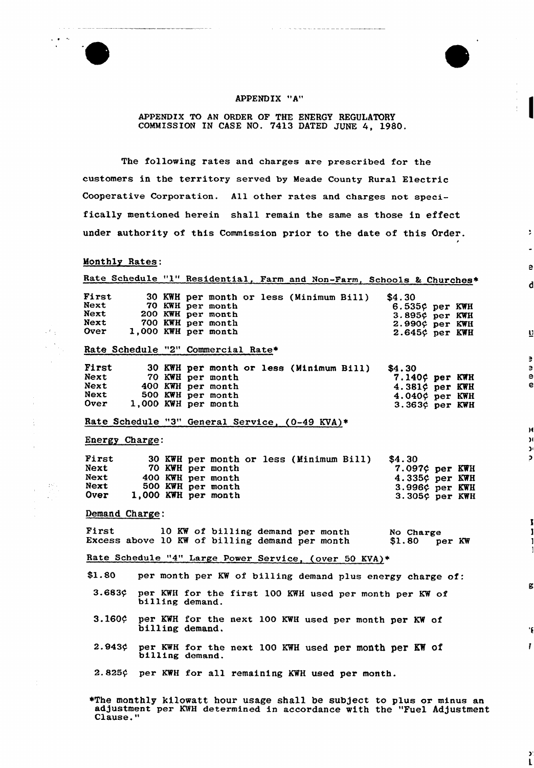

#### APPENDIX "A"

APPENDIX TO AN ORDER OF THE ENERGY REGULATORY COMMISSION IN CASE NO. 7413 DATED JUNE 4, 1980.

The following rates and charges are prescribed for the customers in the territory served by Meade County Rural Electric Cooperative Corporation. All other rates and charges not specifically mentioned herein shall remain the same as those in effect under authority of this Commission prior to the date of this Order.

 $\overline{\phantom{a}}$ 

e

d

 $\overline{\mathbf{u}}$ 

 $\overline{\phantom{a}}$ e e e

 $\overline{\mathbf{R}}$  $\mathbf{a}$  $\mathbf{y}$  $\mathbf{D}$ 

K

 $\mathbf{r}$ 

 $\overline{\phantom{a}}$  $\mathbf{L}$ 

#### Monthly Rates:

 $\mathbb{R}^2$  :

450

|                                                       |                |  |  |                 | Rate Schedule "1" Residential, Farm and Non-Farm, Schools & Churches*                                             |  |  |  |  |  |        |                     |                   |
|-------------------------------------------------------|----------------|--|--|-----------------|-------------------------------------------------------------------------------------------------------------------|--|--|--|--|--|--------|---------------------|-------------------|
| First<br>Next                                         |                |  |  |                 | 30 KWH per month or less (Minimum Bill)<br>70 KWH per month                                                       |  |  |  |  |  | \$4.30 | $6.535$ ¢ per KWH   |                   |
| Next                                                  |                |  |  |                 | 200 KWH per month                                                                                                 |  |  |  |  |  |        | 3.895¢ per KWH      |                   |
| Next                                                  |                |  |  |                 | 700 KWH per month                                                                                                 |  |  |  |  |  |        | 2.990¢ per KWH      |                   |
| Over                                                  |                |  |  |                 | 1,000 KWH per month                                                                                               |  |  |  |  |  |        | 2.645¢ per KWH      |                   |
|                                                       |                |  |  |                 | Rate Schedule "2" Commercial Rate*                                                                                |  |  |  |  |  |        |                     |                   |
| First                                                 |                |  |  |                 | 30 KWH per month or less (Minimum Bill) \$4.30                                                                    |  |  |  |  |  |        |                     |                   |
| Next                                                  |                |  |  |                 | 70 KWH per month                                                                                                  |  |  |  |  |  |        | 7.140¢ per KWH      |                   |
| Next                                                  |                |  |  |                 | 400 KWH per month                                                                                                 |  |  |  |  |  |        | 4.381¢ per KWH      |                   |
| Next                                                  |                |  |  |                 | 500 KWH per month                                                                                                 |  |  |  |  |  |        | 4.040¢ per KWH      |                   |
| <b>Over</b>                                           |                |  |  |                 | 1,000 KWH per month                                                                                               |  |  |  |  |  |        | $3.363\phi$ per KWH |                   |
|                                                       |                |  |  |                 | Rate Schedule "3" General Service, (0-49 KVA)*                                                                    |  |  |  |  |  |        |                     |                   |
|                                                       | Energy Charge: |  |  |                 |                                                                                                                   |  |  |  |  |  |        |                     |                   |
| First                                                 |                |  |  |                 | 30 KWH per month or less (Minimum Bill)                                                                           |  |  |  |  |  | \$4.30 |                     |                   |
| Next                                                  |                |  |  |                 | 70 KWH per month                                                                                                  |  |  |  |  |  |        |                     | $7.097$ ¢ per KWH |
| Next                                                  |                |  |  |                 | 400 KWH per month                                                                                                 |  |  |  |  |  |        | 4.335¢ per KWH      |                   |
| Next                                                  |                |  |  |                 | 500 KWH per month                                                                                                 |  |  |  |  |  |        | 3.996¢ per KWH      |                   |
| Over                                                  |                |  |  |                 | 1,000 KWH per month                                                                                               |  |  |  |  |  |        |                     | 3.305¢ per KWH    |
|                                                       | Demand Charge: |  |  |                 |                                                                                                                   |  |  |  |  |  |        |                     |                   |
|                                                       |                |  |  |                 |                                                                                                                   |  |  |  |  |  |        |                     |                   |
|                                                       |                |  |  |                 | First 10 KW of billing demand per month Mo Charge<br>Excess above 10 KW of billing demand per month \$1.80 per KW |  |  |  |  |  |        |                     |                   |
| Rate Schedule "4" Large Power Service, (over 50 KVA)* |                |  |  |                 |                                                                                                                   |  |  |  |  |  |        |                     |                   |
|                                                       |                |  |  |                 | \$1.80 per month per KW of billing demand plus energy charge of:                                                  |  |  |  |  |  |        |                     |                   |
|                                                       | $3.683$ ¢      |  |  | billing demand. | per KWH for the first 100 KWH used per month per KW of                                                            |  |  |  |  |  |        |                     |                   |
|                                                       | 3.160c         |  |  | billing demand. | per KWH for the next 100 KWH used per month per KW of                                                             |  |  |  |  |  |        |                     |                   |
|                                                       | 2.943c         |  |  | billing demand. | per KWH for the next 100 KWH used per month per KW of                                                             |  |  |  |  |  |        |                     |                   |
|                                                       |                |  |  |                 | 2.825¢ per KWH for all remaining KWH used per month.                                                              |  |  |  |  |  |        |                     |                   |

»The monthly kilowatt hour usage shall be subject to plus or minus an adjustment per KWH determined in accordance with the "Fuel Adjustment Clause."